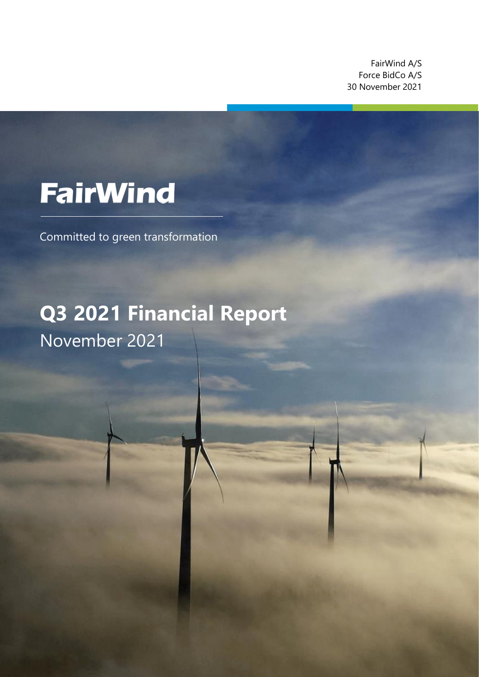FairWind A/S Force BidCo A/S 30 November 2021

z

# **FairWind**

Committed to green transformation

## **Q3 2021 Financial Report** November 2021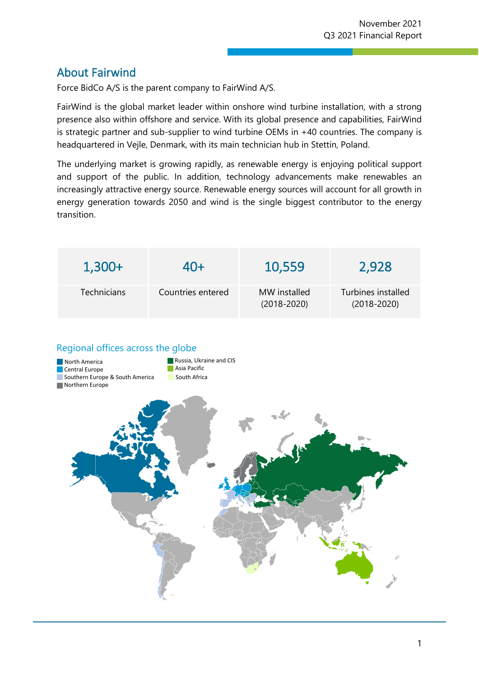### About Fairwind

Force BidCo A/S is the parent company to FairWind A/S.

FairWind is the global market leader within onshore wind turbine installation, with a strong presence also within offshore and service. With its global presence and capabilities, FairWind is strategic partner and sub-supplier to wind turbine OEMs in +40 countries. The company is headquartered in Vejle, Denmark, with its main technician hub in Stettin, Poland.

z

The underlying market is growing rapidly, as renewable energy is enjoying political support and support of the public. In addition, technology advancements make renewables an increasingly attractive energy source. Renewable energy sources will account for all growth in energy generation towards 2050 and wind is the single biggest contributor to the energy transition.

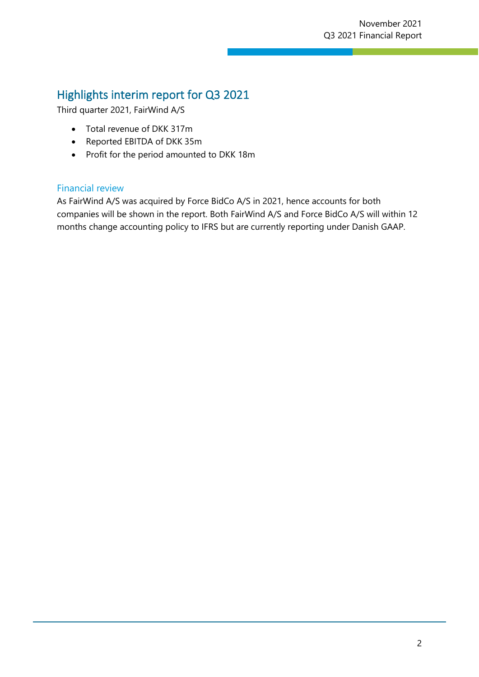## Highlights interim report for Q3 2021

Third quarter 2021, FairWind A/S

- Total revenue of DKK 317m
- Reported EBITDA of DKK 35m
- Profit for the period amounted to DKK 18m

#### Financial review

As FairWind A/S was acquired by Force BidCo A/S in 2021, hence accounts for both companies will be shown in the report. Both FairWind A/S and Force BidCo A/S will within 12 months change accounting policy to IFRS but are currently reporting under Danish GAAP.

z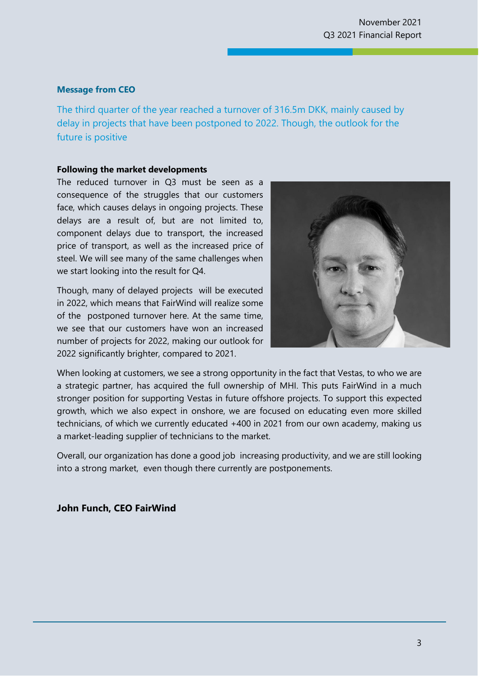#### November 2021 November 2021 Q3 2021 Financial Report Q3 2021 Financial Report

#### **Message from CEO**

The third quarter of the year reached a turnover of 316.5m DKK, mainly caused by delay in projects that have been postponed to 2022. Though, the outlook for the future is positive

z

#### **Following the market developments**

The reduced turnover in Q3 must be seen as a consequence of the struggles that our customers face, which causes delays in ongoing projects. These delays are a result of, but are not limited to, component delays due to transport, the increased price of transport, as well as the increased price of steel. We will see many of the same challenges when we start looking into the result for Q4.

Though, many of delayed projects will be executed in 2022, which means that FairWind will realize some of the postponed turnover here. At the same time, we see that our customers have won an increased number of projects for 2022, making our outlook for 2022 significantly brighter, compared to 2021.



When looking at customers, we see a strong opportunity in the fact that Vestas, to who we are a strategic partner, has acquired the full ownership of MHI. This puts FairWind in a much stronger position for supporting Vestas in future offshore projects. To support this expected growth, which we also expect in onshore, we are focused on educating even more skilled technicians, of which we currently educated +400 in 2021 from our own academy, making us a market-leading supplier of technicians to the market.

Overall, our organization has done a good job increasing productivity, and we are still looking into a strong market, even though there currently are postponements.

#### **John Funch, CEO FairWind**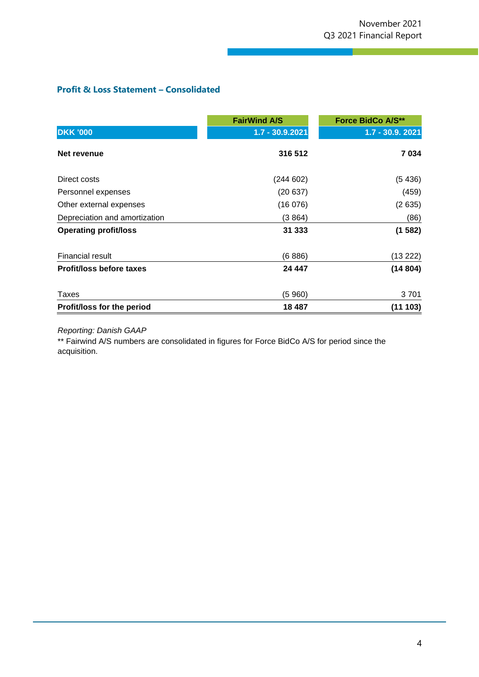#### **Profit & Loss Statement – Consolidated**

|                                 | <b>FairWind A/S</b> | <b>Force BidCo A/S**</b> |
|---------------------------------|---------------------|--------------------------|
| <b>DKK '000</b>                 | $1.7 - 30.9.2021$   | 1.7 - 30.9. 2021         |
| Net revenue                     | 316 512             | 7034                     |
| Direct costs                    | (244602)            | (5436)                   |
| Personnel expenses              | (20637)             | (459)                    |
| Other external expenses         | (16076)             | (2635)                   |
| Depreciation and amortization   | (3864)              | (86)                     |
| <b>Operating profit/loss</b>    | 31 333              | (1582)                   |
| <b>Financial result</b>         | (6886)              | (13 222)                 |
| <b>Profit/loss before taxes</b> | 24 447              | (14804)                  |
| Taxes                           | (5960)              | 3701                     |
| Profit/loss for the period      | 18 4 8 7            | (11103)                  |

z

#### *Reporting: Danish GAAP*

\*\* Fairwind A/S numbers are consolidated in figures for Force BidCo A/S for period since the acquisition.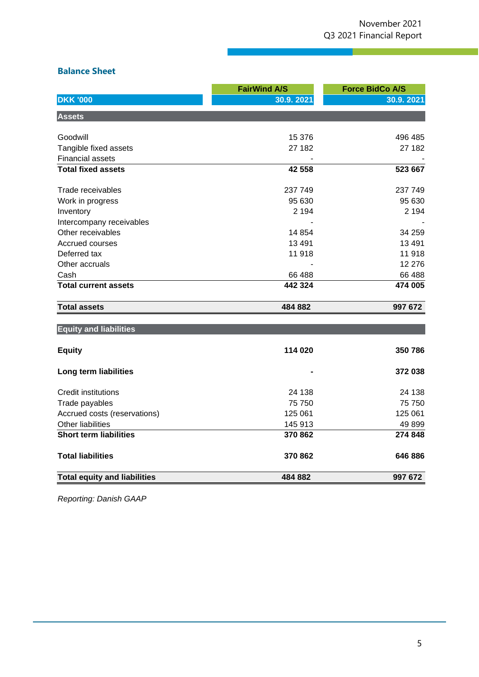z

#### **Balance Sheet**

|                                     | <b>FairWind A/S</b> | <b>Force BidCo A/S</b> |
|-------------------------------------|---------------------|------------------------|
| <b>DKK '000</b>                     | 30.9.2021           | 30.9.2021              |
| <b>Assets</b>                       |                     |                        |
| Goodwill                            | 15 376              | 496 485                |
| Tangible fixed assets               | 27 182              | 27 182                 |
| <b>Financial assets</b>             |                     |                        |
| <b>Total fixed assets</b>           | 42 558              | 523 667                |
| Trade receivables                   | 237 749             | 237 749                |
| Work in progress                    | 95 630              | 95 630                 |
| Inventory                           | 2 1 9 4             | 2 1 9 4                |
| Intercompany receivables            |                     |                        |
| Other receivables                   | 14 8 54             | 34 259                 |
| Accrued courses                     | 13 4 91             | 13 4 91                |
| Deferred tax                        | 11918               | 11 918                 |
| Other accruals                      |                     | 12 276                 |
| Cash                                | 66 488              | 66 488                 |
| <b>Total current assets</b>         | 442 324             | 474 005                |
| <b>Total assets</b>                 | 484 882             | 997 672                |
| <b>Equity and liabilities</b>       |                     |                        |
| <b>Equity</b>                       | 114 020             | 350786                 |
| Long term liabilities               |                     | 372 038                |
| Credit institutions                 | 24 138              | 24 138                 |
| Trade payables                      | 75 750              | 75 750                 |
| Accrued costs (reservations)        | 125 061             | 125 061                |
| <b>Other liabilities</b>            | 145 913             | 49899                  |
| <b>Short term liabilities</b>       | 370 862             | 274 848                |
| <b>Total liabilities</b>            | 370 862             | 646 886                |
| <b>Total equity and liabilities</b> | 484 882             | 997 672                |

*Reporting: Danish GAAP*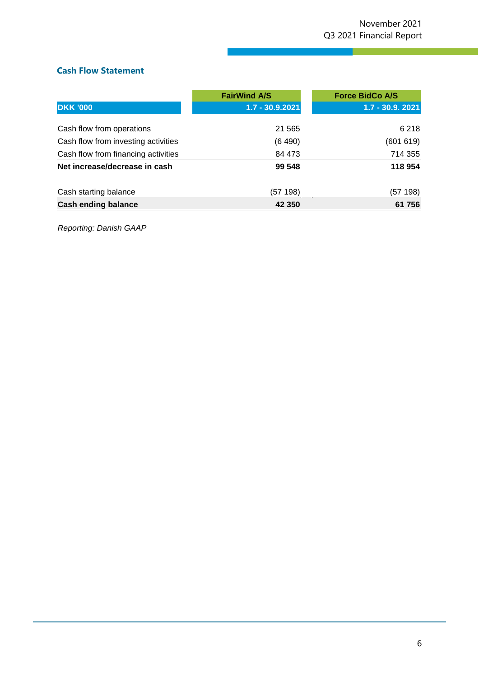#### **Cash Flow Statement**

|                                     | <b>FairWind A/S</b> | <b>Force BidCo A/S</b> |
|-------------------------------------|---------------------|------------------------|
| <b>DKK '000</b>                     | $1.7 - 30.9.2021$   | $1.7 - 30.9.2021$      |
|                                     |                     |                        |
| Cash flow from operations           | 21 5 65             | 6 2 1 8                |
| Cash flow from investing activities | (6 490)             | (601619)               |
| Cash flow from financing activities | 84 473              | 714 355                |
| Net increase/decrease in cash       | 99 548              | 118 954                |
| Cash starting balance               | (57 198)            | (57 198)               |
| <b>Cash ending balance</b>          | 42 350              | 61 756                 |

z

*Reporting: Danish GAAP*